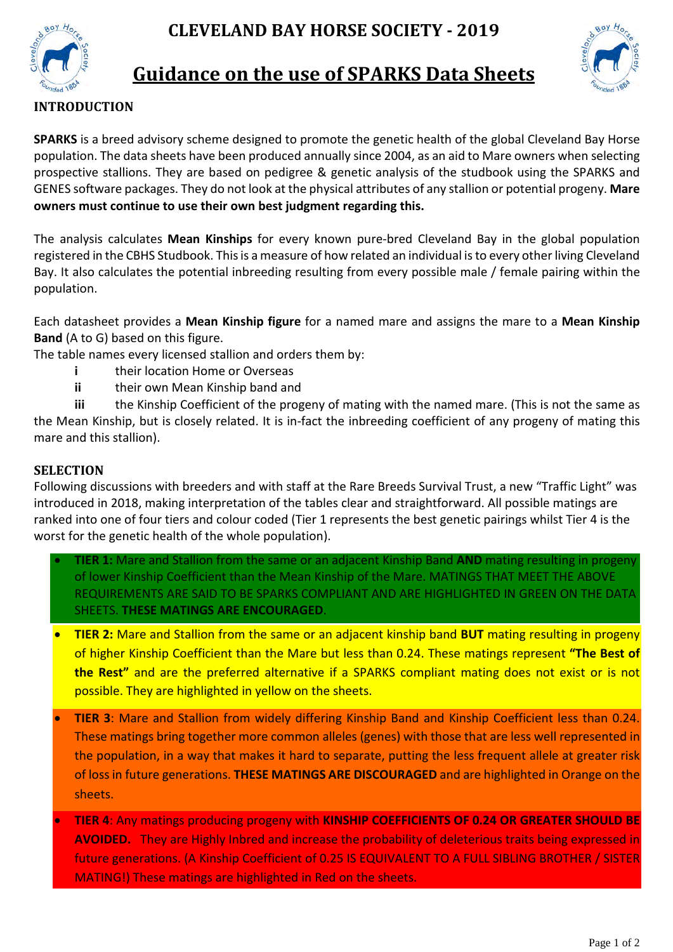



# **Guidance on the use of SPARKS Data Sheets**



**SPARKS** is a breed advisory scheme designed to promote the genetic health of the global Cleveland Bay Horse population. The data sheets have been produced annually since 2004, as an aid to Mare owners when selecting prospective stallions. They are based on pedigree & genetic analysis of the studbook using the SPARKS and GENES software packages. They do not look at the physical attributes of any stallion or potential progeny. **Mare owners must continue to use their own best judgment regarding this.**

The analysis calculates **Mean Kinships** for every known pure-bred Cleveland Bay in the global population registered in the CBHS Studbook. This is a measure of how related an individual is to every other living Cleveland Bay. It also calculates the potential inbreeding resulting from every possible male / female pairing within the population.

Each datasheet provides a **Mean Kinship figure** for a named mare and assigns the mare to a **Mean Kinship Band** (A to G) based on this figure.

The table names every licensed stallion and orders them by:

- **i** their location Home or Overseas
- **ii** their own Mean Kinship band and

**iii** the Kinship Coefficient of the progeny of mating with the named mare. (This is not the same as the Mean Kinship, but is closely related. It is in-fact the inbreeding coefficient of any progeny of mating this mare and this stallion).

#### **SELECTION**

Following discussions with breeders and with staff at the Rare Breeds Survival Trust, a new "Traffic Light" was introduced in 2018, making interpretation of the tables clear and straightforward. All possible matings are ranked into one of four tiers and colour coded (Tier 1 represents the best genetic pairings whilst Tier 4 is the worst for the genetic health of the whole population).

- **TIER 1:** Mare and Stallion from the same or an adjacent Kinship Band **AND** mating resulting in progeny of lower Kinship Coefficient than the Mean Kinship of the Mare. MATINGS THAT MEET THE ABOVE REQUIREMENTS ARE SAID TO BE SPARKS COMPLIANT AND ARE HIGHLIGHTED IN GREEN ON THE DATA SHEETS. **THESE MATINGS ARE ENCOURAGED**.
- **TIER 2:** Mare and Stallion from the same or an adjacent kinship band **BUT** mating resulting in progeny of higher Kinship Coefficient than the Mare but less than 0.24. These matings represent **"The Best of the Rest"** and are the preferred alternative if a SPARKS compliant mating does not exist or is not possible. They are highlighted in yellow on the sheets.
- **TIER 3**: Mare and Stallion from widely differing Kinship Band and Kinship Coefficient less than 0.24. These matings bring together more common alleles (genes) with those that are less well represented in the population, in a way that makes it hard to separate, putting the less frequent allele at greater risk of loss in future generations. **THESE MATINGS ARE DISCOURAGED** and are highlighted in Orange on the sheets.
- **TIER 4**: Any matings producing progeny with **KINSHIP COEFFICIENTS OF 0.24 OR GREATER SHOULD BE AVOIDED.** They are Highly Inbred and increase the probability of deleterious traits being expressed in future generations. (A Kinship Coefficient of 0.25 IS EQUIVALENT TO A FULL SIBLING BROTHER / SISTER MATING!) These matings are highlighted in Red on the sheets.